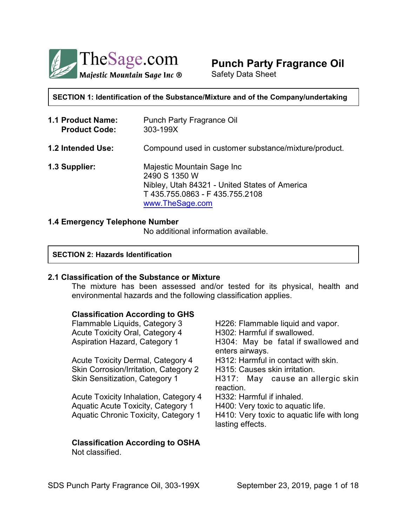

# **Punch Party Fragrance Oil**

Safety Data Sheet

**SECTION 1: Identification of the Substance/Mixture and of the Company/undertaking**

**1.1 Product Name:** Punch Party Fragrance Oil **Product Code:** 303-199X **1.2 Intended Use:** Compound used in customer substance/mixture/product. **1.3 Supplier:** Majestic Mountain Sage Inc 2490 S 1350 W Nibley, Utah 84321 - United States of America T 435.755.0863 - F 435.755.2108 [www.TheSage.com](http://www.TheSage.com)

# **1.4 Emergency Telephone Number**

No additional information available.

#### **SECTION 2: Hazards Identification**

#### **2.1 Classification of the Substance or Mixture**

The mixture has been assessed and/or tested for its physical, health and environmental hazards and the following classification applies.

#### **Classification According to GHS**

Acute Toxicity Oral, Category 4 H302: Harmful if swallowed.

Acute Toxicity Dermal, Category 4 H312: Harmful in contact with skin. Skin Corrosion/Irritation, Category 2 H315: Causes skin irritation.

Acute Toxicity Inhalation, Category 4 H332: Harmful if inhaled. Aquatic Acute Toxicity, Category 1 H400: Very toxic to aquatic life.

# **Classification According to OSHA** Not classified.

Flammable Liquids, Category 3 H226: Flammable liquid and vapor. Aspiration Hazard, Category 1 H304: May be fatal if swallowed and enters airways. Skin Sensitization, Category 1 **H317:** May cause an allergic skin reaction. Aquatic Chronic Toxicity, Category 1 H410: Very toxic to aquatic life with long lasting effects.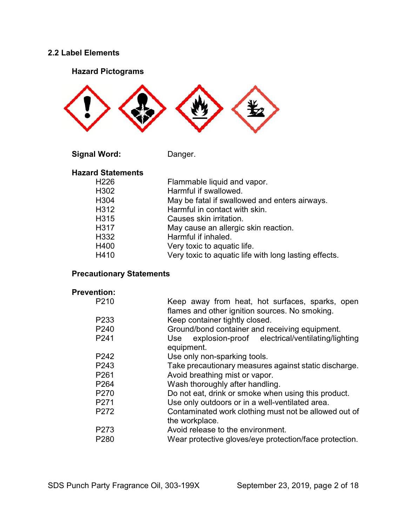# **2.2 Label Elements**

# **Hazard Pictograms**



Signal Word: Danger.

# **Hazard Statements**

| H226             | Flammable liquid and vapor.                           |
|------------------|-------------------------------------------------------|
| H302             | Harmful if swallowed.                                 |
| H <sub>304</sub> | May be fatal if swallowed and enters airways.         |
| H312             | Harmful in contact with skin.                         |
| H315             | Causes skin irritation.                               |
| H317             | May cause an allergic skin reaction.                  |
| H332             | Harmful if inhaled.                                   |
| H400             | Very toxic to aquatic life.                           |
| H410             | Very toxic to aquatic life with long lasting effects. |
|                  |                                                       |

# **Precautionary Statements**

# **Prevention:**

| P210             | Keep away from heat, hot surfaces, sparks, open<br>flames and other ignition sources. No smoking. |
|------------------|---------------------------------------------------------------------------------------------------|
| P <sub>233</sub> | Keep container tightly closed.                                                                    |
| P <sub>240</sub> | Ground/bond container and receiving equipment.                                                    |
| P241             | explosion-proof electrical/ventilating/lighting<br>Use<br>equipment.                              |
| P <sub>242</sub> | Use only non-sparking tools.                                                                      |
| P243             | Take precautionary measures against static discharge.                                             |
| P <sub>261</sub> | Avoid breathing mist or vapor.                                                                    |
| P <sub>264</sub> | Wash thoroughly after handling.                                                                   |
| P270             | Do not eat, drink or smoke when using this product.                                               |
| P <sub>271</sub> | Use only outdoors or in a well-ventilated area.                                                   |
| P <sub>272</sub> | Contaminated work clothing must not be allowed out of<br>the workplace.                           |
| P273             | Avoid release to the environment.                                                                 |
| P <sub>280</sub> | Wear protective gloves/eye protection/face protection.                                            |
|                  |                                                                                                   |

SDS Punch Party Fragrance Oil, 303-199X September 23, 2019, page 2 of 18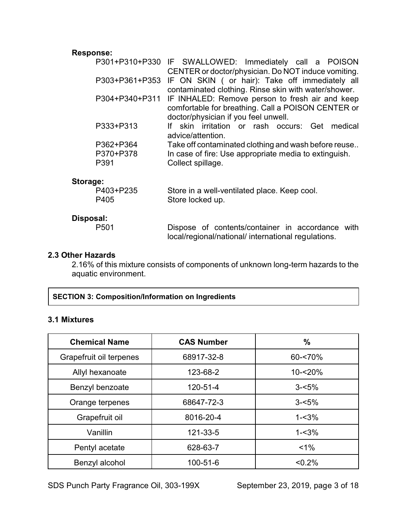# **Response:**

|           | P301+P310+P330 IF SWALLOWED: Immediately call a POISON         |
|-----------|----------------------------------------------------------------|
|           | CENTER or doctor/physician. Do NOT induce vomiting.            |
|           | P303+P361+P353 IF ON SKIN ( or hair): Take off immediately all |
|           | contaminated clothing. Rinse skin with water/shower.           |
|           | P304+P340+P311 IF INHALED: Remove person to fresh air and keep |
|           | comfortable for breathing. Call a POISON CENTER or             |
|           | doctor/physician if you feel unwell.                           |
| P333+P313 | skin irritation or rash occurs: Get medical                    |
|           | advice/attention.                                              |
| P362+P364 | Take off contaminated clothing and wash before reuse           |
| P370+P378 | In case of fire: Use appropriate media to extinguish.          |
| P391      | Collect spillage.                                              |
|           |                                                                |
|           |                                                                |

# **Storage:**

| P403+P235 | Store in a well-ventilated place. Keep cool. |
|-----------|----------------------------------------------|
| P405      | Store locked up.                             |

# **Disposal:**

Dispose of contents/container in accordance with local/regional/national/ international regulations.

# **2.3 Other Hazards**

2.16% of this mixture consists of components of unknown long-term hazards to the aquatic environment.

# **SECTION 3: Composition/Information on Ingredients**

# **3.1 Mixtures**

| <b>Chemical Name</b>    | <b>CAS Number</b> | $\%$       |
|-------------------------|-------------------|------------|
| Grapefruit oil terpenes | 68917-32-8        | 60-<70%    |
| Allyl hexanoate         | 123-68-2          | $10 - 20%$ |
| Benzyl benzoate         | 120-51-4          | $3 - 5%$   |
| Orange terpenes         | 68647-72-3        | $3 - 5%$   |
| Grapefruit oil          | 8016-20-4         | $1 - 3%$   |
| Vanillin                | 121-33-5          | $1 - 3%$   |
| Pentyl acetate          | 628-63-7          | $< 1\%$    |
| Benzyl alcohol          | 100-51-6          | < 0.2%     |

SDS Punch Party Fragrance Oil, 303-199X September 23, 2019, page 3 of 18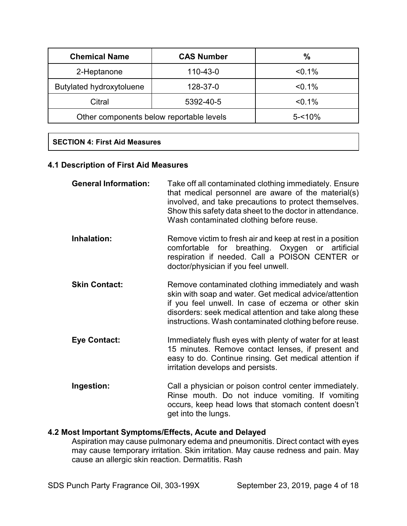| <b>Chemical Name</b>                     | <b>CAS Number</b> | $\frac{0}{0}$ |
|------------------------------------------|-------------------|---------------|
| 110-43-0<br>2-Heptanone                  |                   | $< 0.1\%$     |
| Butylated hydroxytoluene                 | 128-37-0          | $< 0.1\%$     |
| Citral                                   | 5392-40-5         | $< 0.1\%$     |
| Other components below reportable levels |                   | $5 - 10%$     |

# **SECTION 4: First Aid Measures**

# **4.1 Description of First Aid Measures**

| <b>General Information:</b> | Take off all contaminated clothing immediately. Ensure<br>that medical personnel are aware of the material(s)<br>involved, and take precautions to protect themselves.<br>Show this safety data sheet to the doctor in attendance.<br>Wash contaminated clothing before reuse.         |
|-----------------------------|----------------------------------------------------------------------------------------------------------------------------------------------------------------------------------------------------------------------------------------------------------------------------------------|
| Inhalation:                 | Remove victim to fresh air and keep at rest in a position<br>comfortable for breathing. Oxygen or artificial<br>respiration if needed. Call a POISON CENTER or<br>doctor/physician if you feel unwell.                                                                                 |
| <b>Skin Contact:</b>        | Remove contaminated clothing immediately and wash<br>skin with soap and water. Get medical advice/attention<br>if you feel unwell. In case of eczema or other skin<br>disorders: seek medical attention and take along these<br>instructions. Wash contaminated clothing before reuse. |
| <b>Eye Contact:</b>         | Immediately flush eyes with plenty of water for at least<br>15 minutes. Remove contact lenses, if present and<br>easy to do. Continue rinsing. Get medical attention if<br>irritation develops and persists.                                                                           |
| Ingestion:                  | Call a physician or poison control center immediately.<br>Rinse mouth. Do not induce vomiting. If vomiting<br>occurs, keep head lows that stomach content doesn't<br>get into the lungs.                                                                                               |

# **4.2 Most Important Symptoms/Effects, Acute and Delayed**

Aspiration may cause pulmonary edema and pneumonitis. Direct contact with eyes may cause temporary irritation. Skin irritation. May cause redness and pain. May cause an allergic skin reaction. Dermatitis. Rash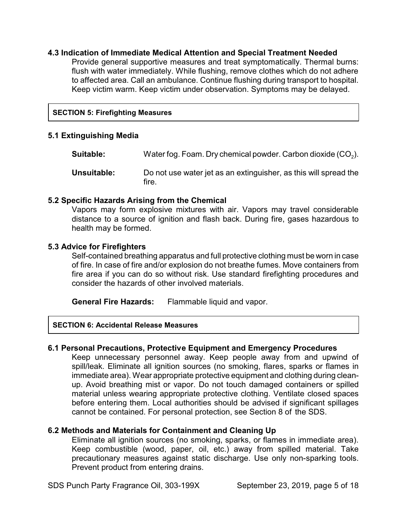# **4.3 Indication of Immediate Medical Attention and Special Treatment Needed**

Provide general supportive measures and treat symptomatically. Thermal burns: flush with water immediately. While flushing, remove clothes which do not adhere to affected area. Call an ambulance. Continue flushing during transport to hospital. Keep victim warm. Keep victim under observation. Symptoms may be delayed.

# **SECTION 5: Firefighting Measures**

# **5.1 Extinguishing Media**

 $\textsf{Suitable:}\qquad \qquad \textsf{Water fog.}$  Foam. Dry chemical powder. Carbon dioxide  $(\mathsf{CO}_2).$ **Unsuitable:** Do not use water jet as an extinguisher, as this will spread the fire.

# **5.2 Specific Hazards Arising from the Chemical**

Vapors may form explosive mixtures with air. Vapors may travel considerable distance to a source of ignition and flash back. During fire, gases hazardous to health may be formed.

# **5.3 Advice for Firefighters**

Self-contained breathing apparatus and full protective clothing must be worn in case of fire. In case of fire and/or explosion do not breathe fumes. Move containers from fire area if you can do so without risk. Use standard firefighting procedures and consider the hazards of other involved materials.

**General Fire Hazards:** Flammable liquid and vapor.

# **SECTION 6: Accidental Release Measures**

# **6.1 Personal Precautions, Protective Equipment and Emergency Procedures**

Keep unnecessary personnel away. Keep people away from and upwind of spill/leak. Eliminate all ignition sources (no smoking, flares, sparks or flames in immediate area). Wear appropriate protective equipment and clothing during cleanup. Avoid breathing mist or vapor. Do not touch damaged containers or spilled material unless wearing appropriate protective clothing. Ventilate closed spaces before entering them. Local authorities should be advised if significant spillages cannot be contained. For personal protection, see Section 8 of the SDS.

# **6.2 Methods and Materials for Containment and Cleaning Up**

Eliminate all ignition sources (no smoking, sparks, or flames in immediate area). Keep combustible (wood, paper, oil, etc.) away from spilled material. Take precautionary measures against static discharge. Use only non-sparking tools. Prevent product from entering drains.

SDS Punch Party Fragrance Oil, 303-199X September 23, 2019, page 5 of 18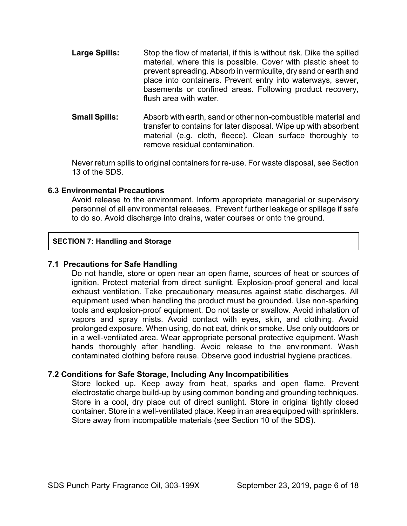- **Large Spills:** Stop the flow of material, if this is without risk. Dike the spilled material, where this is possible. Cover with plastic sheet to prevent spreading. Absorb in vermiculite, dry sand or earth and place into containers. Prevent entry into waterways, sewer, basements or confined areas. Following product recovery, flush area with water.
- **Small Spills:** Absorb with earth, sand or other non-combustible material and transfer to contains for later disposal. Wipe up with absorbent material (e.g. cloth, fleece). Clean surface thoroughly to remove residual contamination.

Never return spills to original containers for re-use. For waste disposal, see Section 13 of the SDS.

# **6.3 Environmental Precautions**

Avoid release to the environment. Inform appropriate managerial or supervisory personnel of all environmental releases. Prevent further leakage or spillage if safe to do so. Avoid discharge into drains, water courses or onto the ground.

# **SECTION 7: Handling and Storage**

# **7.1 Precautions for Safe Handling**

Do not handle, store or open near an open flame, sources of heat or sources of ignition. Protect material from direct sunlight. Explosion-proof general and local exhaust ventilation. Take precautionary measures against static discharges. All equipment used when handling the product must be grounded. Use non-sparking tools and explosion-proof equipment. Do not taste or swallow. Avoid inhalation of vapors and spray mists. Avoid contact with eyes, skin, and clothing. Avoid prolonged exposure. When using, do not eat, drink or smoke. Use only outdoors or in a well-ventilated area. Wear appropriate personal protective equipment. Wash hands thoroughly after handling. Avoid release to the environment. Wash contaminated clothing before reuse. Observe good industrial hygiene practices.

# **7.2 Conditions for Safe Storage, Including Any Incompatibilities**

Store locked up. Keep away from heat, sparks and open flame. Prevent electrostatic charge build-up by using common bonding and grounding techniques. Store in a cool, dry place out of direct sunlight. Store in original tightly closed container. Store in a well-ventilated place. Keep in an area equipped with sprinklers. Store away from incompatible materials (see Section 10 of the SDS).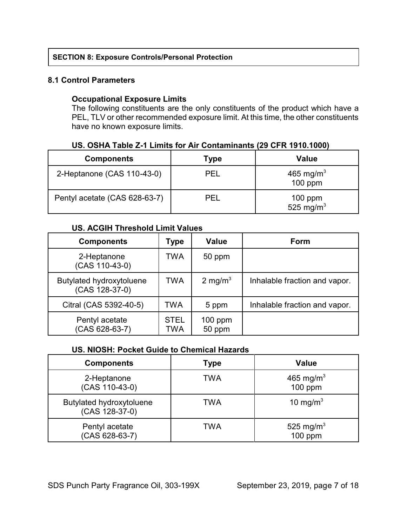# **SECTION 8: Exposure Controls/Personal Protection**

# **8.1 Control Parameters**

# **Occupational Exposure Limits**

The following constituents are the only constituents of the product which have a PEL, TLV or other recommended exposure limit. At this time, the other constituents have no known exposure limits.

| <b>Components</b>             | Type       | Value                              |
|-------------------------------|------------|------------------------------------|
| 2-Heptanone (CAS 110-43-0)    | PEL        | 465 mg/m <sup>3</sup><br>$100$ ppm |
| Pentyl acetate (CAS 628-63-7) | <b>PFI</b> | $100$ ppm<br>525 mg/m <sup>3</sup> |

# **US. OSHA Table Z-1 Limits for Air Contaminants (29 CFR 1910.1000)**

# **US. ACGIH Threshold Limit Values**

| <b>Components</b>                          | Type               | <b>Value</b>        | Form                          |
|--------------------------------------------|--------------------|---------------------|-------------------------------|
| 2-Heptanone<br>(CAS 110-43-0)              | TWA                | 50 ppm              |                               |
| Butylated hydroxytoluene<br>(CAS 128-37-0) | <b>TWA</b>         | 2 mg/m <sup>3</sup> | Inhalable fraction and vapor. |
| Citral (CAS 5392-40-5)                     | TWA                | 5 ppm               | Inhalable fraction and vapor. |
| Pentyl acetate<br>(CAS 628-63-7)           | <b>STEL</b><br>TWA | $100$ ppm<br>50 ppm |                               |

# **US. NIOSH: Pocket Guide to Chemical Hazards**

| <b>Components</b>                          | Type | <b>Value</b>                       |
|--------------------------------------------|------|------------------------------------|
| 2-Heptanone<br>(CAS 110-43-0)              | TWA  | 465 mg/m <sup>3</sup><br>$100$ ppm |
| Butylated hydroxytoluene<br>(CAS 128-37-0) | TWA  | 10 mg/m <sup>3</sup>               |
| Pentyl acetate<br>$(CAS 628-63-7)$         | TWA  | 525 mg/m <sup>3</sup><br>$100$ ppm |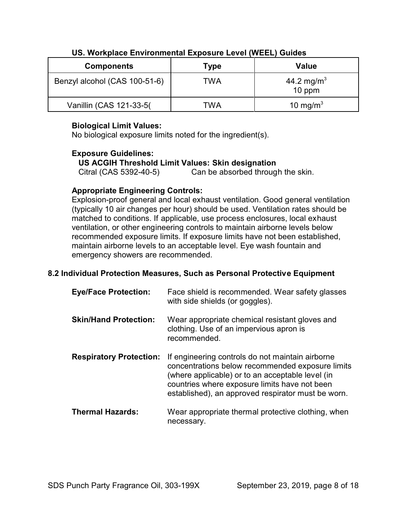| <b>Components</b>             | Type | <b>Value</b>                     |
|-------------------------------|------|----------------------------------|
| Benzyl alcohol (CAS 100-51-6) | TWA  | 44.2 mg/m <sup>3</sup><br>10 ppm |
| Vanillin (CAS 121-33-5)       | TWA  | 10 mg/m <sup>3</sup>             |

# **US. Workplace Environmental Exposure Level (WEEL) Guides**

# **Biological Limit Values:**

No biological exposure limits noted for the ingredient(s).

# **Exposure Guidelines:**

# **US ACGIH Threshold Limit Values: Skin designation**

Citral (CAS 5392-40-5) Can be absorbed through the skin.

# **Appropriate Engineering Controls:**

Explosion-proof general and local exhaust ventilation. Good general ventilation (typically 10 air changes per hour) should be used. Ventilation rates should be matched to conditions. If applicable, use process enclosures, local exhaust ventilation, or other engineering controls to maintain airborne levels below recommended exposure limits. If exposure limits have not been established, maintain airborne levels to an acceptable level. Eye wash fountain and emergency showers are recommended.

# **8.2 Individual Protection Measures, Such as Personal Protective Equipment**

| <b>Eye/Face Protection:</b>    | Face shield is recommended. Wear safety glasses<br>with side shields (or goggles).                                                                                                                                                                              |
|--------------------------------|-----------------------------------------------------------------------------------------------------------------------------------------------------------------------------------------------------------------------------------------------------------------|
| <b>Skin/Hand Protection:</b>   | Wear appropriate chemical resistant gloves and<br>clothing. Use of an impervious apron is<br>recommended.                                                                                                                                                       |
| <b>Respiratory Protection:</b> | If engineering controls do not maintain airborne<br>concentrations below recommended exposure limits<br>(where applicable) or to an acceptable level (in<br>countries where exposure limits have not been<br>established), an approved respirator must be worn. |
| <b>Thermal Hazards:</b>        | Wear appropriate thermal protective clothing, when<br>necessary.                                                                                                                                                                                                |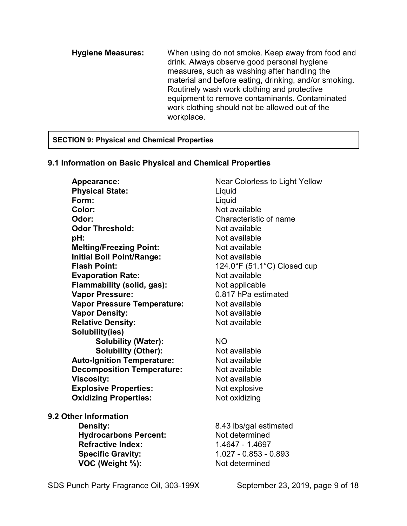**Hygiene Measures:** When using do not smoke. Keep away from food and drink. Always observe good personal hygiene measures, such as washing after handling the material and before eating, drinking, and/or smoking. Routinely wash work clothing and protective equipment to remove contaminants. Contaminated work clothing should not be allowed out of the workplace.

# **SECTION 9: Physical and Chemical Properties**

# **9.1 Information on Basic Physical and Chemical Properties**

**Appearance:** Near Colorless to Light Yellow **Physical State:** Liquid **Form:** Liquid **Color:** Not available **Odor:** Characteristic of name **Odor Threshold:** Not available **pH:** Not available **Melting/Freezing Point:** Not available **Initial Boil Point/Range:** Not available **Flash Point:** 124.0°F (51.1°C) Closed cup **Evaporation Rate:** Not available **Flammability (solid, gas):** Not applicable **Vapor Pressure:** 0.817 hPa estimated **Vapor Pressure Temperature:** Not available **Vapor Density:** Not available **Relative Density:** Not available **Solubility(ies) Solubility (Water):** NO **Solubility (Other):** Not available **Auto-Ignition Temperature:** Not available **Decomposition Temperature:** Not available **Viscosity:** Not available **Explosive Properties:** Not explosive **Oxidizing Properties:** Not oxidizing

**9.2 Other Information**

**Density:** 8.43 lbs/gal estimated **Hydrocarbons Percent:** Not determined **Refractive Index:** 1.4647 - 1.4697  **Specific Gravity:** 1.027 - 0.853 - 0.893 **VOC (Weight %):** Not determined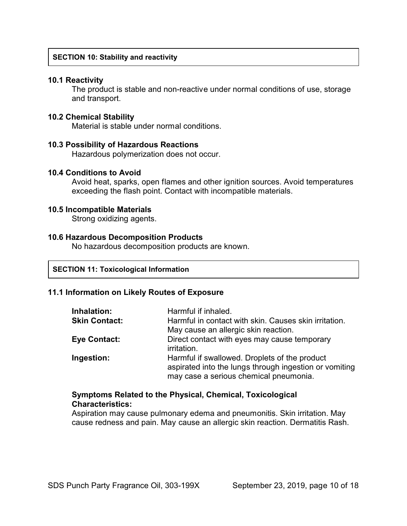# **SECTION 10: Stability and reactivity**

#### **10.1 Reactivity**

The product is stable and non-reactive under normal conditions of use, storage and transport.

#### **10.2 Chemical Stability**

Material is stable under normal conditions.

#### **10.3 Possibility of Hazardous Reactions**

Hazardous polymerization does not occur.

#### **10.4 Conditions to Avoid**

Avoid heat, sparks, open flames and other ignition sources. Avoid temperatures exceeding the flash point. Contact with incompatible materials.

# **10.5 Incompatible Materials**

Strong oxidizing agents.

# **10.6 Hazardous Decomposition Products**

No hazardous decomposition products are known.

#### **SECTION 11: Toxicological Information**

# **11.1 Information on Likely Routes of Exposure**

| Inhalation:          | Harmful if inhaled.                                                                                                                               |
|----------------------|---------------------------------------------------------------------------------------------------------------------------------------------------|
| <b>Skin Contact:</b> | Harmful in contact with skin. Causes skin irritation.                                                                                             |
|                      | May cause an allergic skin reaction.                                                                                                              |
| <b>Eye Contact:</b>  | Direct contact with eyes may cause temporary<br>irritation.                                                                                       |
| Ingestion:           | Harmful if swallowed. Droplets of the product<br>aspirated into the lungs through ingestion or vomiting<br>may case a serious chemical pneumonia. |

# **Symptoms Related to the Physical, Chemical, Toxicological Characteristics:**

Aspiration may cause pulmonary edema and pneumonitis. Skin irritation. May cause redness and pain. May cause an allergic skin reaction. Dermatitis Rash.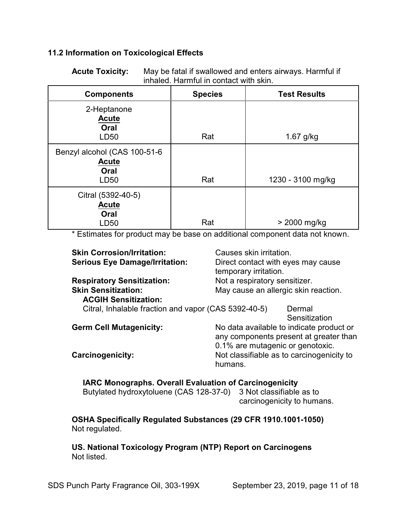# **11.2 Information on Toxicological Effects**

**Acute Toxicity:** May be fatal if swallowed and enters airways. Harmful if inhaled. Harmful in contact with skin.

| <b>Components</b>                                            | <b>Species</b> | <b>Test Results</b> |
|--------------------------------------------------------------|----------------|---------------------|
| 2-Heptanone<br><b>Acute</b><br>Oral<br>LD50                  | Rat            | $1.67$ g/kg         |
| Benzyl alcohol (CAS 100-51-6<br><b>Acute</b><br>Oral<br>LD50 | Rat            | 1230 - 3100 mg/kg   |
| Citral (5392-40-5)<br><b>Acute</b><br>Oral<br>LD50           | Rat            | > 2000 mg/kg        |

\* Estimates for product may be base on additional component data not known.

| <b>Skin Corrosion/Irritation:</b>                    | Causes skin irritation.                   |  |
|------------------------------------------------------|-------------------------------------------|--|
| <b>Serious Eye Damage/Irritation:</b>                | Direct contact with eyes may cause        |  |
|                                                      | temporary irritation.                     |  |
| <b>Respiratory Sensitization:</b>                    | Not a respiratory sensitizer.             |  |
| <b>Skin Sensitization:</b>                           | May cause an allergic skin reaction.      |  |
| <b>ACGIH Sensitization:</b>                          |                                           |  |
| Citral, Inhalable fraction and vapor (CAS 5392-40-5) | Dermal                                    |  |
|                                                      | Sensitization                             |  |
| <b>Germ Cell Mutagenicity:</b>                       | No data available to indicate product or  |  |
|                                                      | any components present at greater than    |  |
|                                                      | 0.1% are mutagenic or genotoxic.          |  |
| <b>Carcinogenicity:</b>                              | Not classifiable as to carcinogenicity to |  |
|                                                      | humans.                                   |  |
|                                                      |                                           |  |

 **IARC Monographs. Overall Evaluation of Carcinogenicity** Butylated hydroxytoluene (CAS 128-37-0) 3 Not classifiable as to carcinogenicity to humans.

**OSHA Specifically Regulated Substances (29 CFR 1910.1001-1050)** Not regulated.

**US. National Toxicology Program (NTP) Report on Carcinogens** Not listed.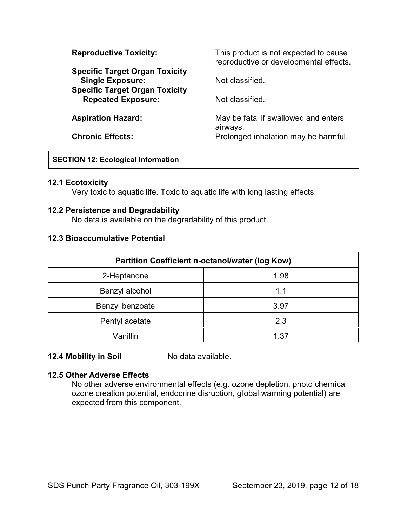| <b>Reproductive Toxicity:</b>                                                                             | This product is not expected to cause<br>reproductive or developmental effects. |  |
|-----------------------------------------------------------------------------------------------------------|---------------------------------------------------------------------------------|--|
| <b>Specific Target Organ Toxicity</b><br><b>Single Exposure:</b><br><b>Specific Target Organ Toxicity</b> | Not classified.                                                                 |  |
| <b>Repeated Exposure:</b>                                                                                 | Not classified.                                                                 |  |
| <b>Aspiration Hazard:</b>                                                                                 | May be fatal if swallowed and enters<br>airways.                                |  |
| <b>Chronic Effects:</b>                                                                                   | Prolonged inhalation may be harmful.                                            |  |

# **SECTION 12: Ecological Information**

# **12.1 Ecotoxicity**

Very toxic to aquatic life. Toxic to aquatic life with long lasting effects.

# **12.2 Persistence and Degradability**

No data is available on the degradability of this product.

# **12.3 Bioaccumulative Potential**

| <b>Partition Coefficient n-octanol/water (log Kow)</b> |      |  |
|--------------------------------------------------------|------|--|
| 2-Heptanone                                            | 1.98 |  |
| Benzyl alcohol                                         | 1.1  |  |
| Benzyl benzoate                                        | 3.97 |  |
| Pentyl acetate                                         | 2.3  |  |
| Vanillin                                               | 1.37 |  |

# **12.4 Mobility in Soil** No data available.

# **12.5 Other Adverse Effects**

No other adverse environmental effects (e.g. ozone depletion, photo chemical ozone creation potential, endocrine disruption, global warming potential) are expected from this component.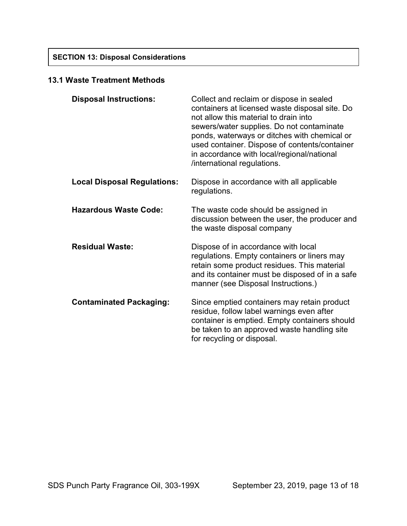# **13.1 Waste Treatment Methods**

| <b>Disposal Instructions:</b>      | Collect and reclaim or dispose in sealed<br>containers at licensed waste disposal site. Do<br>not allow this material to drain into<br>sewers/water supplies. Do not contaminate<br>ponds, waterways or ditches with chemical or<br>used container. Dispose of contents/container<br>in accordance with local/regional/national<br>/international regulations. |
|------------------------------------|----------------------------------------------------------------------------------------------------------------------------------------------------------------------------------------------------------------------------------------------------------------------------------------------------------------------------------------------------------------|
| <b>Local Disposal Regulations:</b> | Dispose in accordance with all applicable<br>regulations.                                                                                                                                                                                                                                                                                                      |
| <b>Hazardous Waste Code:</b>       | The waste code should be assigned in<br>discussion between the user, the producer and<br>the waste disposal company                                                                                                                                                                                                                                            |
| <b>Residual Waste:</b>             | Dispose of in accordance with local<br>regulations. Empty containers or liners may<br>retain some product residues. This material<br>and its container must be disposed of in a safe<br>manner (see Disposal Instructions.)                                                                                                                                    |
| <b>Contaminated Packaging:</b>     | Since emptied containers may retain product<br>residue, follow label warnings even after<br>container is emptied. Empty containers should<br>be taken to an approved waste handling site<br>for recycling or disposal.                                                                                                                                         |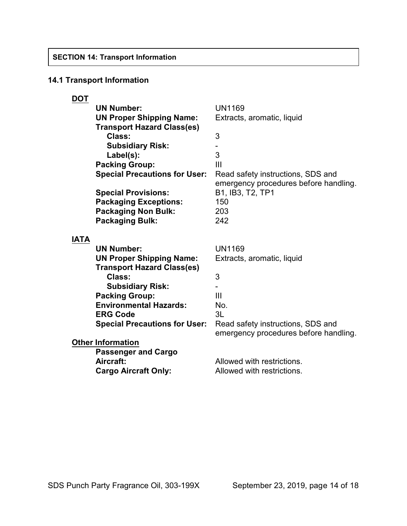# **14.1 Transport Information**

| <b>DOT</b>  |                                      |                                       |
|-------------|--------------------------------------|---------------------------------------|
|             | <b>UN Number:</b>                    | <b>UN1169</b>                         |
|             | <b>UN Proper Shipping Name:</b>      | Extracts, aromatic, liquid            |
|             | <b>Transport Hazard Class(es)</b>    |                                       |
|             | Class:                               | 3                                     |
|             | <b>Subsidiary Risk:</b>              |                                       |
|             | Label(s):                            | 3                                     |
|             | <b>Packing Group:</b>                | $\mathbf{III}$                        |
|             | <b>Special Precautions for User:</b> | Read safety instructions, SDS and     |
|             |                                      | emergency procedures before handling. |
|             | <b>Special Provisions:</b>           | B1, IB3, T2, TP1                      |
|             | <b>Packaging Exceptions:</b>         | 150                                   |
|             | <b>Packaging Non Bulk:</b>           | 203                                   |
|             | <b>Packaging Bulk:</b>               | 242                                   |
|             |                                      |                                       |
| <b>IATA</b> |                                      |                                       |
|             | <b>UN Number:</b>                    | <b>UN1169</b>                         |
|             | <b>UN Proper Shipping Name:</b>      | Extracts, aromatic, liquid            |
|             | <b>Transport Hazard Class(es)</b>    |                                       |
|             | Class:                               | 3                                     |
|             | <b>Subsidiary Risk:</b>              |                                       |
|             | <b>Packing Group:</b>                | $\mathbf{III}$                        |
|             | <b>Environmental Hazards:</b>        | No.                                   |
|             | <b>ERG Code</b>                      | 3L                                    |
|             | <b>Special Precautions for User:</b> | Read safety instructions, SDS and     |
|             |                                      | emergency procedures before handling. |
|             | <b>Other Information</b>             |                                       |
|             | <b>Passenger and Cargo</b>           |                                       |
|             | Aircraft:                            | Allowed with restrictions.            |
|             | <b>Cargo Aircraft Only:</b>          | Allowed with restrictions.            |
|             |                                      |                                       |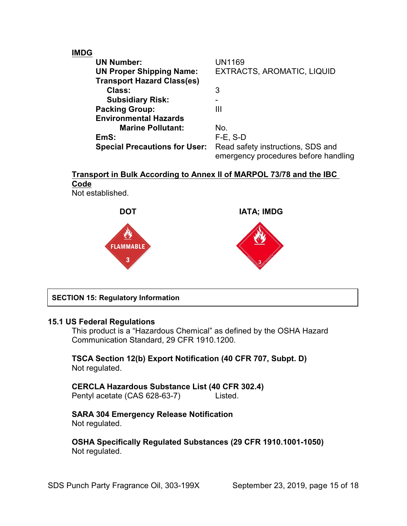# **IMDG**

| <b>UN Number:</b>                    | UN1169                                                                    |
|--------------------------------------|---------------------------------------------------------------------------|
| <b>UN Proper Shipping Name:</b>      | EXTRACTS, AROMATIC, LIQUID                                                |
| <b>Transport Hazard Class(es)</b>    |                                                                           |
| Class:                               | 3                                                                         |
| <b>Subsidiary Risk:</b>              |                                                                           |
| <b>Packing Group:</b>                | Ш                                                                         |
| <b>Environmental Hazards</b>         |                                                                           |
| <b>Marine Pollutant:</b>             | No.                                                                       |
| EmS:                                 | $F-E$ , S-D                                                               |
| <b>Special Precautions for User:</b> | Read safety instructions, SDS and<br>emergency procedures before handling |

# **Transport in Bulk According to Annex II of MARPOL 73/78 and the IBC Code**

Not established.



# **SECTION 15: Regulatory Information**

# **15.1 US Federal Regulations**

This product is a "Hazardous Chemical" as defined by the OSHA Hazard Communication Standard, 29 CFR 1910.1200.

# **TSCA Section 12(b) Export Notification (40 CFR 707, Subpt. D)** Not regulated.

# **CERCLA Hazardous Substance List (40 CFR 302.4)** Pentyl acetate (CAS 628-63-7) Listed.

# **SARA 304 Emergency Release Notification** Not regulated.

**OSHA Specifically Regulated Substances (29 CFR 1910.1001-1050)** Not regulated.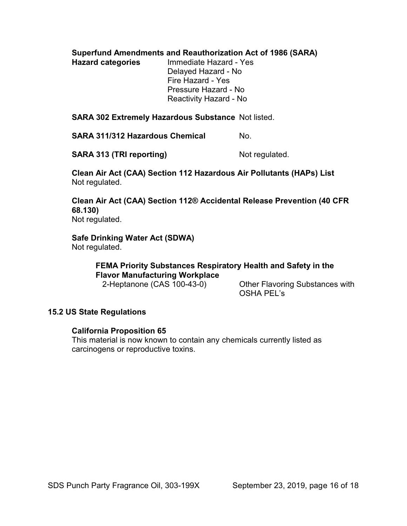**Superfund Amendments and Reauthorization Act of 1986 (SARA)**

**Hazard categories** Immediate Hazard - Yes Delayed Hazard - No Fire Hazard - Yes Pressure Hazard - No Reactivity Hazard - No

**SARA 302 Extremely Hazardous Substance** Not listed.

**SARA 311/312 Hazardous Chemical Mo.** 

**SARA 313 (TRI reporting)** Not regulated.

**Clean Air Act (CAA) Section 112 Hazardous Air Pollutants (HAPs) List** Not regulated.

**Clean Air Act (CAA) Section 112® Accidental Release Prevention (40 CFR 68.130)** Not regulated.

**Safe Drinking Water Act (SDWA)** Not regulated.

> **FEMA Priority Substances Respiratory Health and Safety in the Flavor Manufacturing Workplace**

 2-Heptanone (CAS 100-43-0) Other Flavoring Substances with OSHA PEL's

# **15.2 US State Regulations**

# **California Proposition 65**

This material is now known to contain any chemicals currently listed as carcinogens or reproductive toxins.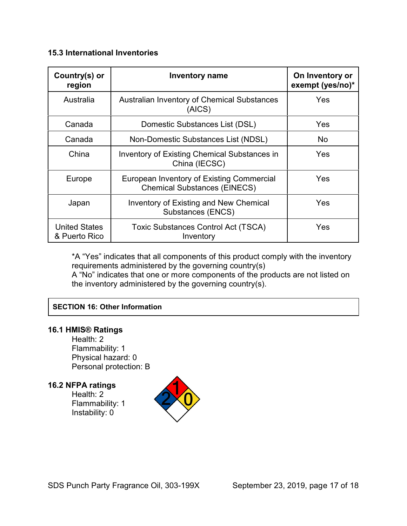# **15.3 International Inventories**

| Country(s) or<br>region               | <b>Inventory name</b>                                                            | On Inventory or<br>exempt (yes/no)* |
|---------------------------------------|----------------------------------------------------------------------------------|-------------------------------------|
| Australia                             | <b>Australian Inventory of Chemical Substances</b><br>(AICS)                     | Yes                                 |
| Canada                                | Domestic Substances List (DSL)                                                   | Yes                                 |
| Canada                                | Non-Domestic Substances List (NDSL)                                              | No.                                 |
| China                                 | <b>Inventory of Existing Chemical Substances in</b><br>China (IECSC)             | Yes                                 |
| Europe                                | European Inventory of Existing Commercial<br><b>Chemical Substances (EINECS)</b> | Yes                                 |
| Japan                                 | <b>Inventory of Existing and New Chemical</b><br>Substances (ENCS)               | Yes                                 |
| <b>United States</b><br>& Puerto Rico | <b>Toxic Substances Control Act (TSCA)</b><br>Inventory                          | Yes                                 |

\*A "Yes" indicates that all components of this product comply with the inventory requirements administered by the governing country(s)

A "No" indicates that one or more components of the products are not listed on the inventory administered by the governing country(s).

# **SECTION 16: Other Information**

# **16.1 HMIS® Ratings**

Health: 2 Flammability: 1 Physical hazard: 0 Personal protection: B

# **16.2 NFPA ratings**

Health: 2 Flammability: 1 Instability: 0